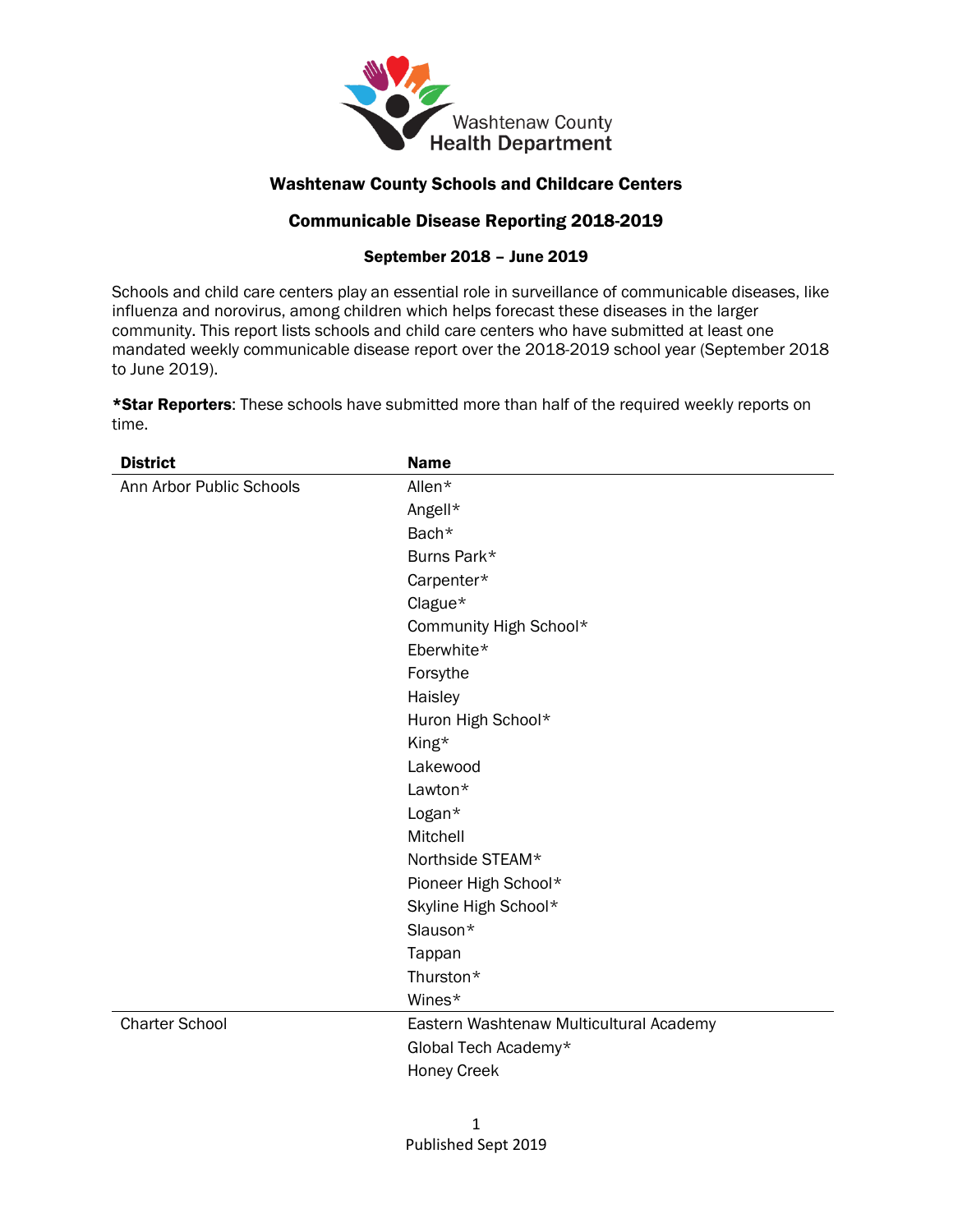

## Washtenaw County Schools and Childcare Centers

## Communicable Disease Reporting 2018-2019

## September 2018 – June 2019

Schools and child care centers play an essential role in surveillance of communicable diseases, like influenza and norovirus, among children which helps forecast these diseases in the larger community. This report lists schools and child care centers who have submitted at least one mandated weekly communicable disease report over the 2018-2019 school year (September 2018 to June 2019).

\*Star Reporters: These schools have submitted more than half of the required weekly reports on time.

| <b>District</b>          | <b>Name</b>                             |
|--------------------------|-----------------------------------------|
| Ann Arbor Public Schools | Allen*                                  |
|                          | Angell*                                 |
|                          | Bach*                                   |
|                          | Burns Park*                             |
|                          | Carpenter*                              |
|                          | Clague*                                 |
|                          | Community High School*                  |
|                          | Eberwhite*                              |
|                          | Forsythe                                |
|                          | Haisley                                 |
|                          | Huron High School*                      |
|                          | King*                                   |
|                          | Lakewood                                |
|                          | Lawton*                                 |
|                          | Logan*                                  |
|                          | Mitchell                                |
|                          | Northside STEAM*                        |
|                          | Pioneer High School*                    |
|                          | Skyline High School*                    |
|                          | Slauson*                                |
|                          | Tappan                                  |
|                          | Thurston*                               |
|                          | Wines*                                  |
| <b>Charter School</b>    | Eastern Washtenaw Multicultural Academy |
|                          | Global Tech Academy*                    |
|                          | <b>Honey Creek</b>                      |
|                          |                                         |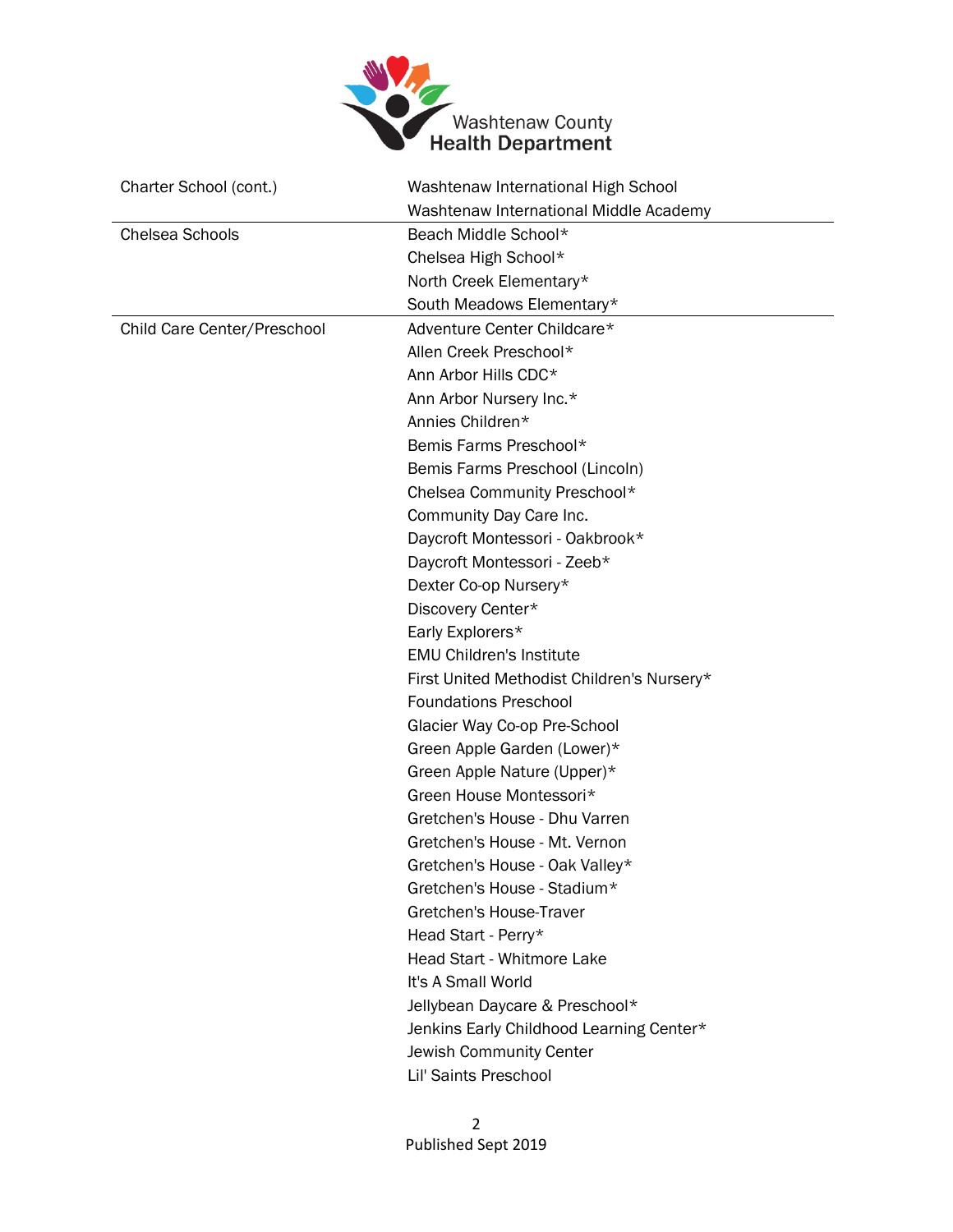

| Charter School (cont.)      | Washtenaw International High School        |
|-----------------------------|--------------------------------------------|
|                             | Washtenaw International Middle Academy     |
| <b>Chelsea Schools</b>      | Beach Middle School*                       |
|                             | Chelsea High School*                       |
|                             | North Creek Elementary*                    |
|                             | South Meadows Elementary*                  |
| Child Care Center/Preschool | Adventure Center Childcare*                |
|                             | Allen Creek Preschool*                     |
|                             | Ann Arbor Hills CDC*                       |
|                             | Ann Arbor Nursery Inc.*                    |
|                             | Annies Children*                           |
|                             | Bemis Farms Preschool*                     |
|                             | Bemis Farms Preschool (Lincoln)            |
|                             | Chelsea Community Preschool*               |
|                             | Community Day Care Inc.                    |
|                             | Daycroft Montessori - Oakbrook*            |
|                             | Daycroft Montessori - Zeeb*                |
|                             | Dexter Co-op Nursery*                      |
|                             | Discovery Center*                          |
|                             | Early Explorers*                           |
|                             | <b>EMU Children's Institute</b>            |
|                             | First United Methodist Children's Nursery* |
|                             | <b>Foundations Preschool</b>               |
|                             | Glacier Way Co-op Pre-School               |
|                             | Green Apple Garden (Lower)*                |
|                             | Green Apple Nature (Upper)*                |
|                             | Green House Montessori*                    |
|                             | Gretchen's House - Dhu Varren              |
|                             | Gretchen's House - Mt. Vernon              |
|                             | Gretchen's House - Oak Valley*             |
|                             | Gretchen's House - Stadium*                |
|                             | Gretchen's House-Traver                    |
|                             | Head Start - Perry*                        |
|                             | Head Start - Whitmore Lake                 |
|                             | It's A Small World                         |
|                             | Jellybean Daycare & Preschool*             |
|                             | Jenkins Early Childhood Learning Center*   |
|                             | Jewish Community Center                    |
|                             | Lil' Saints Preschool                      |
|                             |                                            |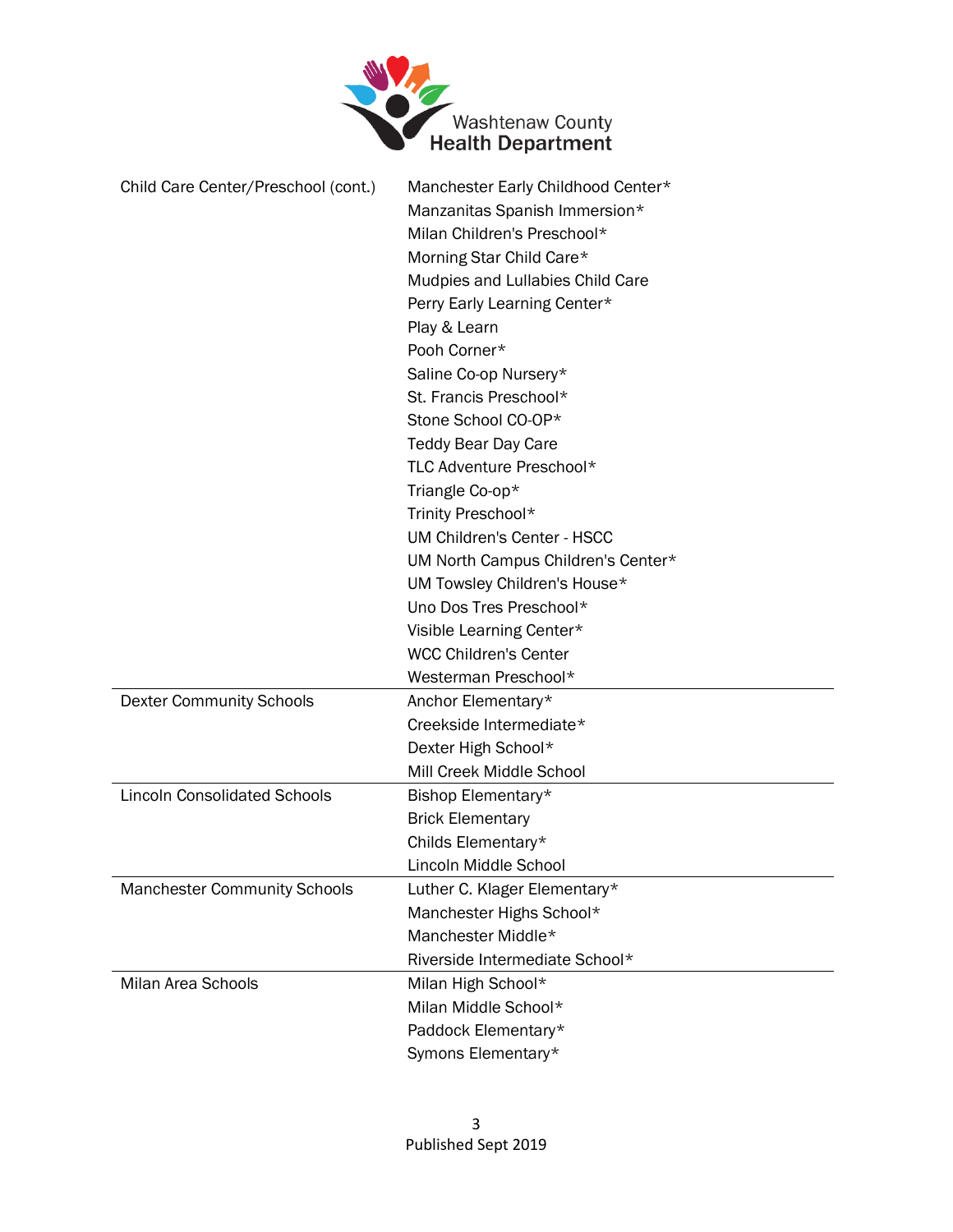

| Child Care Center/Preschool (cont.) | Manchester Early Childhood Center* |
|-------------------------------------|------------------------------------|
|                                     | Manzanitas Spanish Immersion*      |
|                                     | Milan Children's Preschool*        |
|                                     | Morning Star Child Care*           |
|                                     | Mudpies and Lullabies Child Care   |
|                                     | Perry Early Learning Center*       |
|                                     | Play & Learn                       |
|                                     | Pooh Corner*                       |
|                                     | Saline Co-op Nursery*              |
|                                     | St. Francis Preschool*             |
|                                     | Stone School CO-OP*                |
|                                     | <b>Teddy Bear Day Care</b>         |
|                                     | TLC Adventure Preschool*           |
|                                     | Triangle Co-op*                    |
|                                     | Trinity Preschool*                 |
|                                     | <b>UM Children's Center - HSCC</b> |
|                                     | UM North Campus Children's Center* |
|                                     | UM Towsley Children's House*       |
|                                     | Uno Dos Tres Preschool*            |
|                                     | Visible Learning Center*           |
|                                     | <b>WCC Children's Center</b>       |
|                                     | Westerman Preschool*               |
| <b>Dexter Community Schools</b>     | Anchor Elementary*                 |
|                                     | Creekside Intermediate*            |
|                                     | Dexter High School*                |
|                                     | Mill Creek Middle School           |
| <b>Lincoln Consolidated Schools</b> | Bishop Elementary*                 |
|                                     | <b>Brick Elementary</b>            |
|                                     | Childs Elementary*                 |
|                                     | Lincoln Middle School              |
| <b>Manchester Community Schools</b> | Luther C. Klager Elementary*       |
|                                     | Manchester Highs School*           |
|                                     | Manchester Middle*                 |
|                                     | Riverside Intermediate School*     |
| Milan Area Schools                  | Milan High School*                 |
|                                     | Milan Middle School*               |
|                                     | Paddock Elementary*                |
|                                     | Symons Elementary*                 |